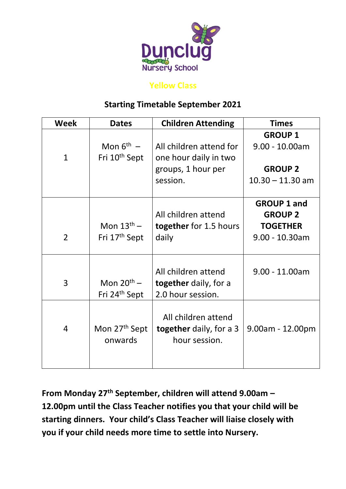

### **Yellow Class**

## **Starting Timetable September 2021**

| Week           | <b>Dates</b>              | <b>Children Attending</b>                  | <b>Times</b>       |
|----------------|---------------------------|--------------------------------------------|--------------------|
|                |                           |                                            | <b>GROUP 1</b>     |
|                | Mon $6^{\text{th}}$ –     | All children attend for                    | $9.00 - 10.00am$   |
| $\mathbf{1}$   | Fri 10 <sup>th</sup> Sept | one hour daily in two                      |                    |
|                |                           | groups, 1 hour per                         | <b>GROUP 2</b>     |
|                |                           | session.                                   | $10.30 - 11.30$ am |
|                |                           |                                            |                    |
|                |                           |                                            | <b>GROUP 1 and</b> |
|                |                           | All children attend                        | <b>GROUP 2</b>     |
|                | Mon $13th$ –              | together for 1.5 hours                     | <b>TOGETHER</b>    |
| $\overline{2}$ | Fri 17 <sup>th</sup> Sept | daily                                      | $9.00 - 10.30$ am  |
|                |                           |                                            |                    |
|                |                           |                                            |                    |
| 3              | Mon $20^{th}$ –           | All children attend                        | $9.00 - 11.00$ am  |
|                | Fri 24 <sup>th</sup> Sept | together daily, for a<br>2.0 hour session. |                    |
|                |                           |                                            |                    |
|                |                           | All children attend                        |                    |
| 4              | Mon 27 <sup>th</sup> Sept | <b>together</b> daily, for a 3             | $9.00am - 12.00pm$ |
|                | onwards                   | hour session.                              |                    |
|                |                           |                                            |                    |
|                |                           |                                            |                    |

**From Monday 27th September, children will attend 9.00am – 12.00pm until the Class Teacher notifies you that your child will be starting dinners. Your child's Class Teacher will liaise closely with you if your child needs more time to settle into Nursery.**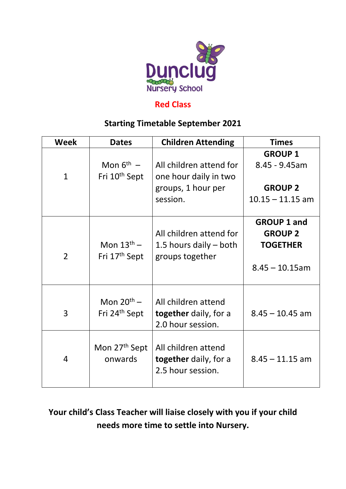

#### **Red Class**

## **Starting Timetable September 2021**

| <b>Week</b>    | <b>Dates</b>              | <b>Children Attending</b>    | <b>Times</b>       |
|----------------|---------------------------|------------------------------|--------------------|
|                |                           |                              | <b>GROUP 1</b>     |
|                | Mon $6^{th}$ –            | All children attend for      | $8.45 - 9.45$ am   |
| $\mathbf{1}$   | Fri 10 <sup>th</sup> Sept | one hour daily in two        |                    |
|                |                           | groups, 1 hour per           | <b>GROUP 2</b>     |
|                |                           | session.                     | $10.15 - 11.15$ am |
|                |                           |                              |                    |
|                |                           |                              | <b>GROUP 1 and</b> |
|                |                           | All children attend for      | <b>GROUP 2</b>     |
|                | Mon $13^{\text{th}}$ –    | 1.5 hours daily $-$ both     | <b>TOGETHER</b>    |
| $\overline{2}$ | Fri 17 <sup>th</sup> Sept | groups together              |                    |
|                |                           |                              | $8.45 - 10.15$ am  |
|                |                           |                              |                    |
|                | Mon $20^{th}$ –           | All children attend          |                    |
| 3              | Fri 24 <sup>th</sup> Sept | <b>together</b> daily, for a | $8.45 - 10.45$ am  |
|                |                           | 2.0 hour session.            |                    |
|                |                           |                              |                    |
|                | Mon 27 <sup>th</sup> Sept | All children attend          |                    |
| 4              | onwards                   | <b>together</b> daily, for a | $8.45 - 11.15$ am  |
|                |                           | 2.5 hour session.            |                    |
|                |                           |                              |                    |

# **Your child's Class Teacher will liaise closely with you if your child needs more time to settle into Nursery.**